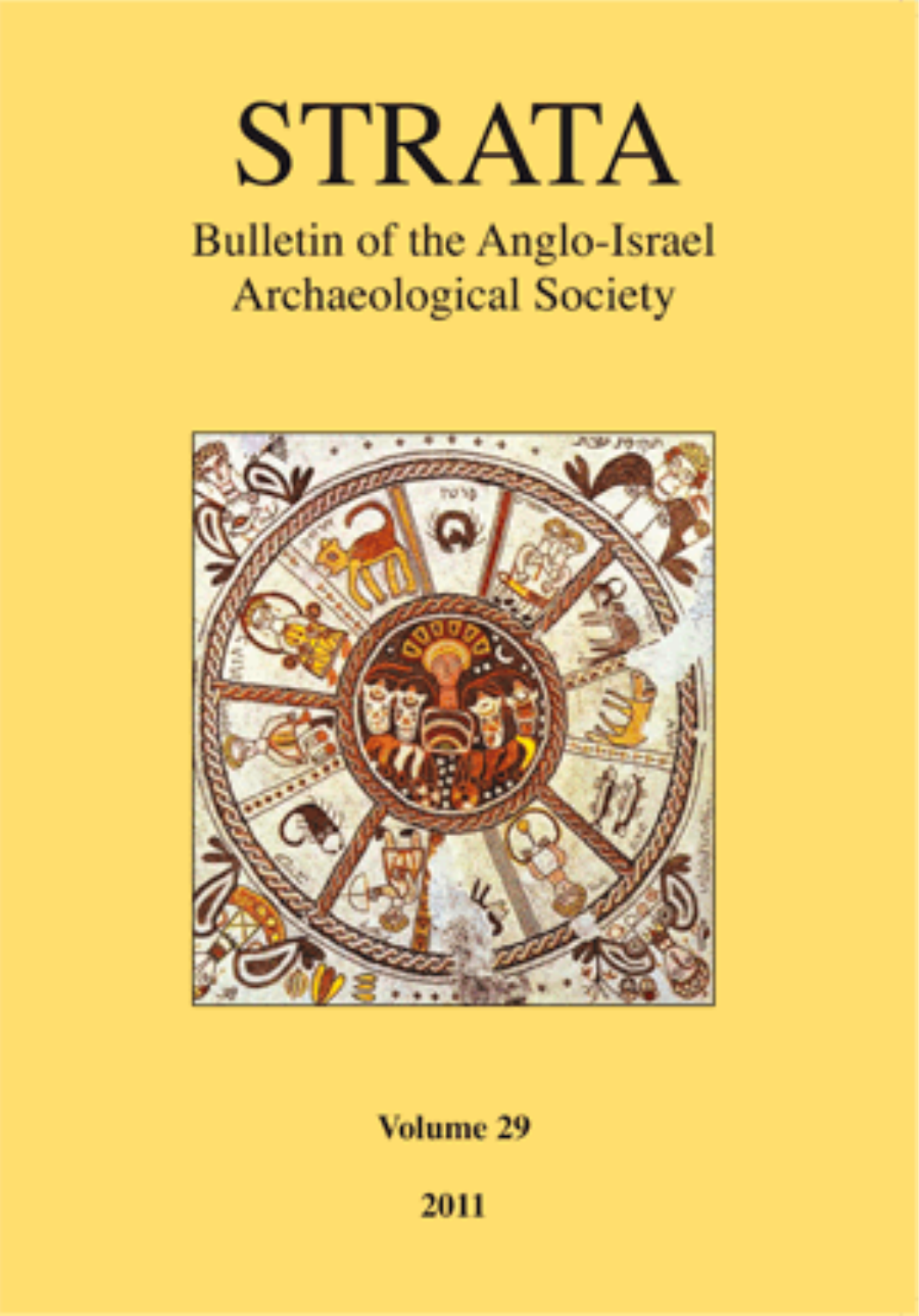# **STRATA**

## **Bulletin of the Anglo-Israel Archaeological Society**



Volume 29

2011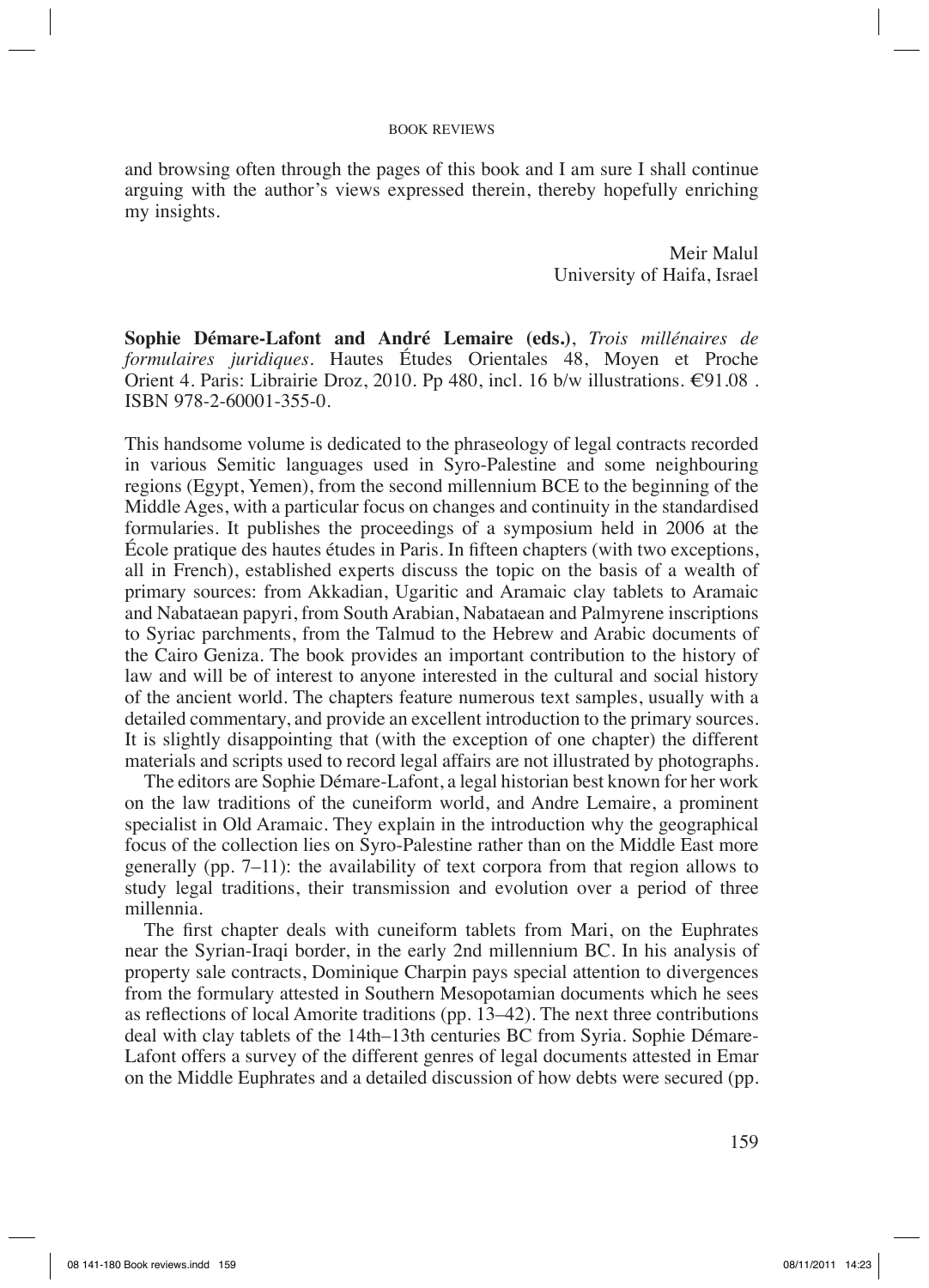### BOOK REVIEWS

and browsing often through the pages of this book and I am sure I shall continue arguing with the author's views expressed therein, thereby hopefully enriching my insights.

> Meir Malul University of Haifa, Israel

**Sophie Démare-Lafont and André Lemaire (eds.)**, *Trois millénaires de formulaires juridiques.* Hautes Études Orientales 48, Moyen et Proche Orient 4. Paris: Librairie Droz, 2010. Pp 480, incl. 16 b/w illustrations.  $\epsilon$ 91.08. ISBN 978-2-60001-355-0.

This handsome volume is dedicated to the phraseology of legal contracts recorded in various Semitic languages used in Syro-Palestine and some neighbouring regions (Egypt, Yemen), from the second millennium BCE to the beginning of the Middle Ages, with a particular focus on changes and continuity in the standardised formularies. It publishes the proceedings of a symposium held in 2006 at the Ecole pratique des hautes études in Paris. In fifteen chapters (with two exceptions, all in French), established experts discuss the topic on the basis of a wealth of primary sources: from Akkadian, Ugaritic and Aramaic clay tablets to Aramaic and Nabataean papyri, from South Arabian, Nabataean and Palmyrene inscriptions to Syriac parchments, from the Talmud to the Hebrew and Arabic documents of the Cairo Geniza. The book provides an important contribution to the history of law and will be of interest to anyone interested in the cultural and social history of the ancient world. The chapters feature numerous text samples, usually with a detailed commentary, and provide an excellent introduction to the primary sources. It is slightly disappointing that (with the exception of one chapter) the different materials and scripts used to record legal affairs are not illustrated by photographs.

The editors are Sophie Démare-Lafont, a legal historian best known for her work on the law traditions of the cuneiform world, and Andre Lemaire, a prominent specialist in Old Aramaic. They explain in the introduction why the geographical focus of the collection lies on Syro-Palestine rather than on the Middle East more generally (pp. 7–11): the availability of text corpora from that region allows to study legal traditions, their transmission and evolution over a period of three millennia.

The first chapter deals with cuneiform tablets from Mari, on the Euphrates near the Syrian-Iraqi border, in the early 2nd millennium BC. In his analysis of property sale contracts, Dominique Charpin pays special attention to divergences from the formulary attested in Southern Mesopotamian documents which he sees as reflections of local Amorite traditions (pp.  $13-42$ ). The next three contributions deal with clay tablets of the 14th–13th centuries BC from Syria. Sophie Démare-Lafont offers a survey of the different genres of legal documents attested in Emar on the Middle Euphrates and a detailed discussion of how debts were secured (pp.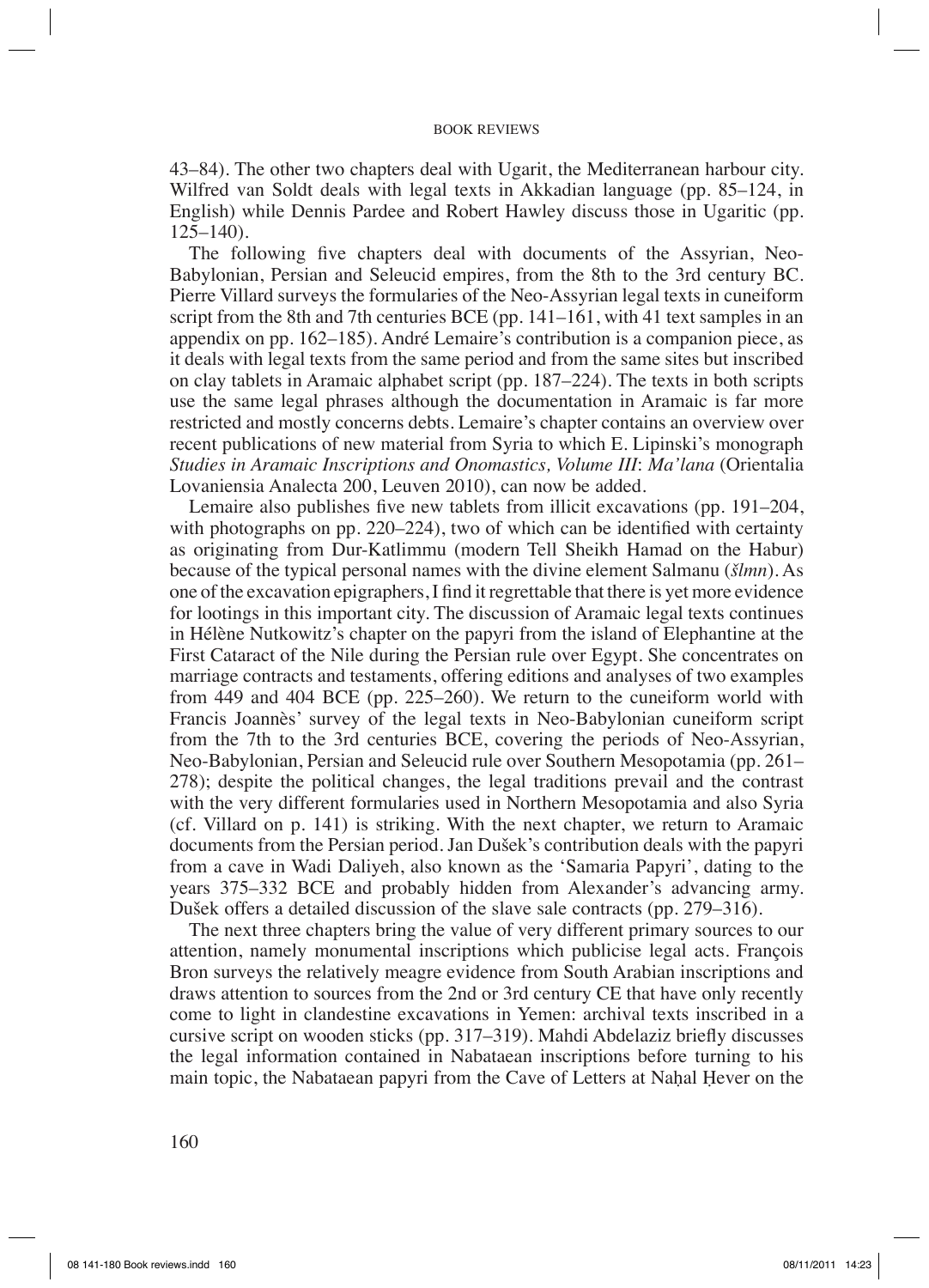#### BOOK REVIEWS

43–84). The other two chapters deal with Ugarit, the Mediterranean harbour city. Wilfred van Soldt deals with legal texts in Akkadian language (pp. 85–124, in English) while Dennis Pardee and Robert Hawley discuss those in Ugaritic (pp. 125–140).

The following five chapters deal with documents of the Assyrian, Neo-Babylonian, Persian and Seleucid empires, from the 8th to the 3rd century BC. Pierre Villard surveys the formularies of the Neo-Assyrian legal texts in cuneiform script from the 8th and 7th centuries BCE (pp. 141–161, with 41 text samples in an appendix on pp. 162–185). André Lemaire's contribution is a companion piece, as it deals with legal texts from the same period and from the same sites but inscribed on clay tablets in Aramaic alphabet script (pp. 187–224). The texts in both scripts use the same legal phrases although the documentation in Aramaic is far more restricted and mostly concerns debts. Lemaire's chapter contains an overview over recent publications of new material from Syria to which E. Lipinski's monograph *Studies in Aramaic Inscriptions and Onomastics, Volume III*: *Ma'lana* (Orientalia Lovaniensia Analecta 200, Leuven 2010), can now be added.

Lemaire also publishes five new tablets from illicit excavations (pp.  $191-204$ , with photographs on pp. 220–224), two of which can be identified with certainty as originating from Dur-Katlimmu (modern Tell Sheikh Hamad on the Habur) because of the typical personal names with the divine element Salmanu (*šlmn*). As one of the excavation epigraphers, I find it regrettable that there is yet more evidence for lootings in this important city. The discussion of Aramaic legal texts continues in Hélène Nutkowitz's chapter on the papyri from the island of Elephantine at the First Cataract of the Nile during the Persian rule over Egypt. She concentrates on marriage contracts and testaments, offering editions and analyses of two examples from 449 and 404 BCE (pp. 225–260). We return to the cuneiform world with Francis Joannès' survey of the legal texts in Neo-Babylonian cuneiform script from the 7th to the 3rd centuries BCE, covering the periods of Neo-Assyrian, Neo-Babylonian, Persian and Seleucid rule over Southern Mesopotamia (pp. 261– 278); despite the political changes, the legal traditions prevail and the contrast with the very different formularies used in Northern Mesopotamia and also Syria (cf. Villard on p. 141) is striking. With the next chapter, we return to Aramaic documents from the Persian period. Jan Dušek's contribution deals with the papyri from a cave in Wadi Daliyeh, also known as the 'Samaria Papyri', dating to the years 375–332 BCE and probably hidden from Alexander's advancing army. Dušek offers a detailed discussion of the slave sale contracts (pp. 279–316).

The next three chapters bring the value of very different primary sources to our attention, namely monumental inscriptions which publicise legal acts. François Bron surveys the relatively meagre evidence from South Arabian inscriptions and draws attention to sources from the 2nd or 3rd century CE that have only recently come to light in clandestine excavations in Yemen: archival texts inscribed in a cursive script on wooden sticks (pp.  $317-319$ ). Mahdi Abdelaziz briefly discusses the legal information contained in Nabataean inscriptions before turning to his main topic, the Nabataean papyri from the Cave of Letters at Nahal Hever on the